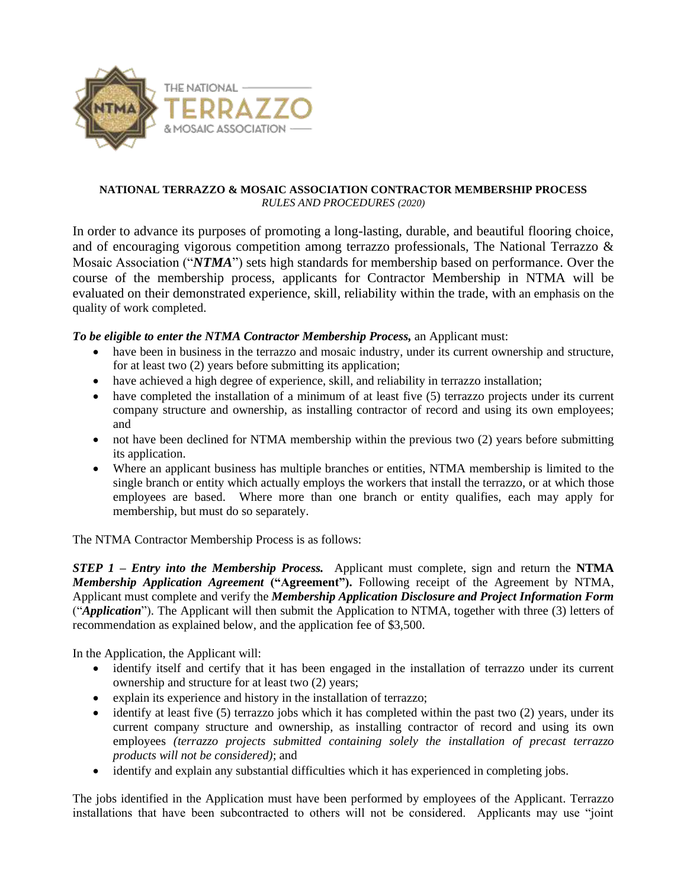

## **NATIONAL TERRAZZO & MOSAIC ASSOCIATION CONTRACTOR MEMBERSHIP PROCESS** *RULES AND PROCEDURES (2020)*

In order to advance its purposes of promoting a long-lasting, durable, and beautiful flooring choice, and of encouraging vigorous competition among terrazzo professionals, The National Terrazzo & Mosaic Association ("*NTMA*") sets high standards for membership based on performance. Over the course of the membership process, applicants for Contractor Membership in NTMA will be evaluated on their demonstrated experience, skill, reliability within the trade, with an emphasis on the quality of work completed.

## *To be eligible to enter the NTMA Contractor Membership Process,* an Applicant must:

- have been in business in the terrazzo and mosaic industry, under its current ownership and structure, for at least two (2) years before submitting its application;
- have achieved a high degree of experience, skill, and reliability in terrazzo installation;
- have completed the installation of a minimum of at least five (5) terrazzo projects under its current company structure and ownership, as installing contractor of record and using its own employees; and
- not have been declined for NTMA membership within the previous two (2) years before submitting its application.
- Where an applicant business has multiple branches or entities, NTMA membership is limited to the single branch or entity which actually employs the workers that install the terrazzo, or at which those employees are based. Where more than one branch or entity qualifies, each may apply for membership, but must do so separately.

The NTMA Contractor Membership Process is as follows:

*STEP 1 – Entry into the Membership Process.* Applicant must complete, sign and return the **NTMA** *Membership Application Agreement* **("Agreement").** Following receipt of the Agreement by NTMA, Applicant must complete and verify the *Membership Application Disclosure and Project Information Form* ("*Application*"). The Applicant will then submit the Application to NTMA, together with three (3) letters of recommendation as explained below, and the application fee of \$3,500.

In the Application, the Applicant will:

- identify itself and certify that it has been engaged in the installation of terrazzo under its current ownership and structure for at least two (2) years;
- explain its experience and history in the installation of terrazzo;
- identify at least five (5) terrazzo jobs which it has completed within the past two (2) years, under its current company structure and ownership, as installing contractor of record and using its own employees *(terrazzo projects submitted containing solely the installation of precast terrazzo products will not be considered)*; and
- identify and explain any substantial difficulties which it has experienced in completing jobs.

The jobs identified in the Application must have been performed by employees of the Applicant. Terrazzo installations that have been subcontracted to others will not be considered. Applicants may use "joint